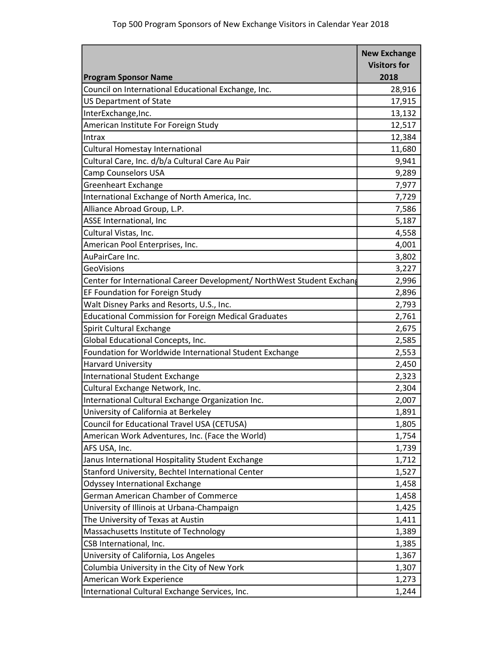|                                                                        | <b>New Exchange</b><br><b>Visitors for</b> |
|------------------------------------------------------------------------|--------------------------------------------|
| <b>Program Sponsor Name</b>                                            | 2018                                       |
| Council on International Educational Exchange, Inc.                    | 28,916                                     |
| <b>US Department of State</b>                                          | 17,915                                     |
| InterExchange, Inc.                                                    | 13,132                                     |
| American Institute For Foreign Study                                   | 12,517                                     |
| Intrax                                                                 | 12,384                                     |
| Cultural Homestay International                                        | 11,680                                     |
| Cultural Care, Inc. d/b/a Cultural Care Au Pair                        | 9,941                                      |
| <b>Camp Counselors USA</b>                                             | 9,289                                      |
| Greenheart Exchange                                                    | 7,977                                      |
| International Exchange of North America, Inc.                          | 7,729                                      |
| Alliance Abroad Group, L.P.                                            | 7,586                                      |
| ASSE International, Inc                                                | 5,187                                      |
| Cultural Vistas, Inc.                                                  | 4,558                                      |
| American Pool Enterprises, Inc.                                        | 4,001                                      |
| AuPairCare Inc.                                                        | 3,802                                      |
| <b>GeoVisions</b>                                                      | 3,227                                      |
| Center for International Career Development/ NorthWest Student Exchang | 2,996                                      |
| EF Foundation for Foreign Study                                        | 2,896                                      |
| Walt Disney Parks and Resorts, U.S., Inc.                              | 2,793                                      |
| <b>Educational Commission for Foreign Medical Graduates</b>            | 2,761                                      |
| Spirit Cultural Exchange                                               | 2,675                                      |
| Global Educational Concepts, Inc.                                      | 2,585                                      |
| Foundation for Worldwide International Student Exchange                | 2,553                                      |
| <b>Harvard University</b>                                              | 2,450                                      |
| <b>International Student Exchange</b>                                  | 2,323                                      |
| Cultural Exchange Network, Inc.                                        | 2,304                                      |
| International Cultural Exchange Organization Inc.                      | 2,007                                      |
| University of California at Berkeley                                   | 1,891                                      |
| Council for Educational Travel USA (CETUSA)                            | 1,805                                      |
| American Work Adventures, Inc. (Face the World)                        | 1,754                                      |
| AFS USA, Inc.                                                          | 1,739                                      |
| Janus International Hospitality Student Exchange                       | 1,712                                      |
| Stanford University, Bechtel International Center                      | 1,527                                      |
| Odyssey International Exchange                                         | 1,458                                      |
| German American Chamber of Commerce                                    | 1,458                                      |
| University of Illinois at Urbana-Champaign                             | 1,425                                      |
| The University of Texas at Austin                                      | 1,411                                      |
| Massachusetts Institute of Technology                                  | 1,389                                      |
| CSB International, Inc.                                                | 1,385                                      |
| University of California, Los Angeles                                  | 1,367                                      |
| Columbia University in the City of New York                            | 1,307                                      |
| American Work Experience                                               | 1,273                                      |
| International Cultural Exchange Services, Inc.                         | 1,244                                      |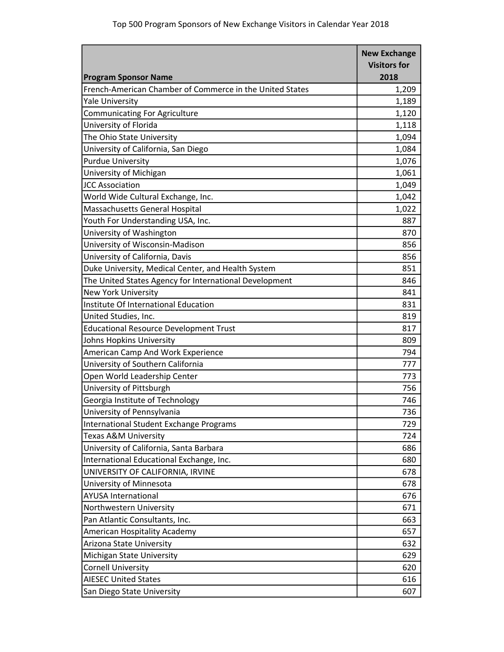|                                                          | <b>New Exchange</b><br><b>Visitors for</b> |
|----------------------------------------------------------|--------------------------------------------|
| <b>Program Sponsor Name</b>                              | 2018                                       |
| French-American Chamber of Commerce in the United States | 1,209                                      |
| <b>Yale University</b>                                   | 1,189                                      |
| <b>Communicating For Agriculture</b>                     | 1,120                                      |
| University of Florida                                    | 1,118                                      |
| The Ohio State University                                | 1,094                                      |
| University of California, San Diego                      | 1,084                                      |
| <b>Purdue University</b>                                 | 1,076                                      |
| University of Michigan                                   | 1,061                                      |
| <b>JCC Association</b>                                   | 1,049                                      |
| World Wide Cultural Exchange, Inc.                       | 1,042                                      |
| Massachusetts General Hospital                           | 1,022                                      |
| Youth For Understanding USA, Inc.                        | 887                                        |
| University of Washington                                 | 870                                        |
| University of Wisconsin-Madison                          | 856                                        |
| University of California, Davis                          | 856                                        |
| Duke University, Medical Center, and Health System       | 851                                        |
| The United States Agency for International Development   | 846                                        |
| <b>New York University</b>                               | 841                                        |
| Institute Of International Education                     | 831                                        |
| United Studies, Inc.                                     | 819                                        |
| <b>Educational Resource Development Trust</b>            | 817                                        |
| Johns Hopkins University                                 | 809                                        |
| American Camp And Work Experience                        | 794                                        |
| University of Southern California                        | 777                                        |
| Open World Leadership Center                             | 773                                        |
| University of Pittsburgh                                 | 756                                        |
| Georgia Institute of Technology                          | 746                                        |
| University of Pennsylvania                               | 736                                        |
| International Student Exchange Programs                  | 729                                        |
| Texas A&M University                                     | 724                                        |
| University of California, Santa Barbara                  | 686                                        |
| International Educational Exchange, Inc.                 | 680                                        |
| UNIVERSITY OF CALIFORNIA, IRVINE                         | 678                                        |
| University of Minnesota                                  | 678                                        |
| <b>AYUSA International</b>                               | 676                                        |
| Northwestern University                                  | 671                                        |
| Pan Atlantic Consultants, Inc.                           | 663                                        |
| American Hospitality Academy                             | 657                                        |
| Arizona State University                                 | 632                                        |
| Michigan State University                                | 629                                        |
| <b>Cornell University</b>                                | 620                                        |
| <b>AIESEC United States</b>                              | 616                                        |
| San Diego State University                               | 607                                        |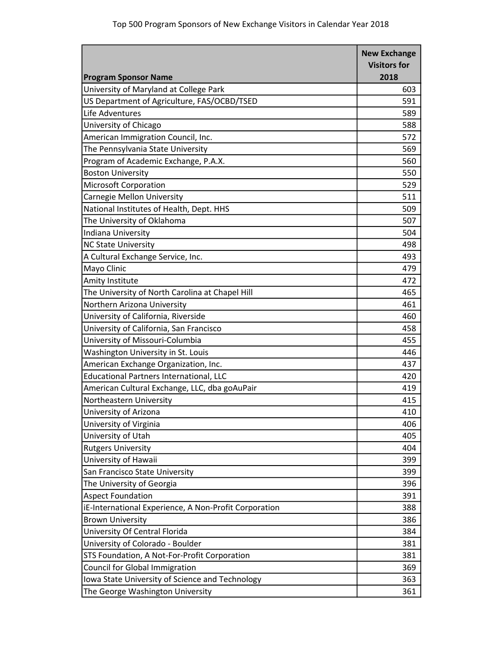|                                                       | <b>New Exchange</b> |
|-------------------------------------------------------|---------------------|
|                                                       | <b>Visitors for</b> |
| <b>Program Sponsor Name</b>                           | 2018                |
| University of Maryland at College Park                | 603                 |
| US Department of Agriculture, FAS/OCBD/TSED           | 591                 |
| Life Adventures                                       | 589                 |
| University of Chicago                                 | 588                 |
| American Immigration Council, Inc.                    | 572                 |
| The Pennsylvania State University                     | 569                 |
| Program of Academic Exchange, P.A.X.                  | 560                 |
| <b>Boston University</b>                              | 550                 |
| <b>Microsoft Corporation</b>                          | 529                 |
| Carnegie Mellon University                            | 511                 |
| National Institutes of Health, Dept. HHS              | 509                 |
| The University of Oklahoma                            | 507                 |
| Indiana University                                    | 504                 |
| <b>NC State University</b>                            | 498                 |
| A Cultural Exchange Service, Inc.                     | 493                 |
| Mayo Clinic                                           | 479                 |
| Amity Institute                                       | 472                 |
| The University of North Carolina at Chapel Hill       | 465                 |
| Northern Arizona University                           | 461                 |
| University of California, Riverside                   | 460                 |
| University of California, San Francisco               | 458                 |
| University of Missouri-Columbia                       | 455                 |
| Washington University in St. Louis                    | 446                 |
| American Exchange Organization, Inc.                  | 437                 |
| Educational Partners International, LLC               | 420                 |
| American Cultural Exchange, LLC, dba goAuPair         | 419                 |
| Northeastern University                               | 415                 |
| University of Arizona                                 | 410                 |
| University of Virginia                                | 406                 |
| University of Utah                                    | 405                 |
| <b>Rutgers University</b>                             | 404                 |
| University of Hawaii                                  | 399                 |
| San Francisco State University                        | 399                 |
| The University of Georgia                             | 396                 |
| <b>Aspect Foundation</b>                              | 391                 |
| iE-International Experience, A Non-Profit Corporation | 388                 |
| <b>Brown University</b>                               | 386                 |
| University Of Central Florida                         | 384                 |
| University of Colorado - Boulder                      | 381                 |
| STS Foundation, A Not-For-Profit Corporation          | 381                 |
| Council for Global Immigration                        | 369                 |
| Iowa State University of Science and Technology       | 363                 |
| The George Washington University                      | 361                 |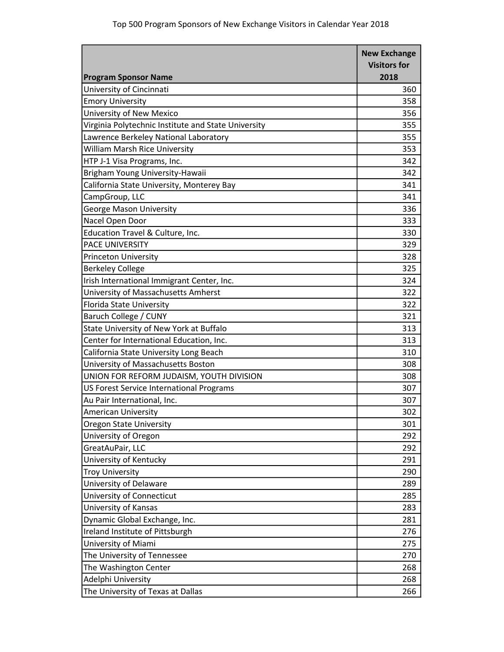|                                                     | <b>New Exchange</b> |
|-----------------------------------------------------|---------------------|
|                                                     | <b>Visitors for</b> |
| <b>Program Sponsor Name</b>                         | 2018                |
| University of Cincinnati                            | 360                 |
| <b>Emory University</b>                             | 358                 |
| University of New Mexico                            | 356                 |
| Virginia Polytechnic Institute and State University | 355                 |
| Lawrence Berkeley National Laboratory               | 355                 |
| William Marsh Rice University                       | 353                 |
| HTP J-1 Visa Programs, Inc.                         | 342                 |
| Brigham Young University-Hawaii                     | 342                 |
| California State University, Monterey Bay           | 341                 |
| CampGroup, LLC                                      | 341                 |
| <b>George Mason University</b>                      | 336                 |
| Nacel Open Door                                     | 333                 |
| Education Travel & Culture, Inc.                    | 330                 |
| <b>PACE UNIVERSITY</b>                              | 329                 |
| <b>Princeton University</b>                         | 328                 |
| <b>Berkeley College</b>                             | 325                 |
| Irish International Immigrant Center, Inc.          | 324                 |
| University of Massachusetts Amherst                 | 322                 |
| Florida State University                            | 322                 |
| Baruch College / CUNY                               | 321                 |
| State University of New York at Buffalo             | 313                 |
| Center for International Education, Inc.            | 313                 |
| California State University Long Beach              | 310                 |
| University of Massachusetts Boston                  | 308                 |
| UNION FOR REFORM JUDAISM, YOUTH DIVISION            | 308                 |
| US Forest Service International Programs            | 307                 |
| Au Pair International, Inc.                         | 307                 |
| <b>American University</b>                          | 302                 |
| Oregon State University                             | 301                 |
| University of Oregon                                | 292                 |
| GreatAuPair, LLC                                    | 292                 |
| University of Kentucky                              | 291                 |
| <b>Troy University</b>                              | 290                 |
| University of Delaware                              | 289                 |
| University of Connecticut                           | 285                 |
| University of Kansas                                | 283                 |
| Dynamic Global Exchange, Inc.                       | 281                 |
| Ireland Institute of Pittsburgh                     | 276                 |
| University of Miami                                 | 275                 |
| The University of Tennessee                         | 270                 |
| The Washington Center                               | 268                 |
| Adelphi University                                  | 268                 |
| The University of Texas at Dallas                   | 266                 |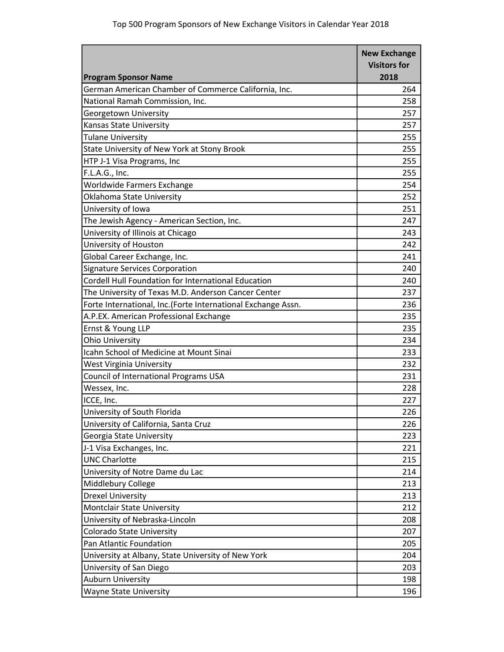|                                                              | <b>New Exchange</b> |
|--------------------------------------------------------------|---------------------|
|                                                              | <b>Visitors for</b> |
| <b>Program Sponsor Name</b>                                  | 2018                |
| German American Chamber of Commerce California, Inc.         | 264                 |
| National Ramah Commission, Inc.                              | 258                 |
| Georgetown University                                        | 257                 |
| Kansas State University                                      | 257                 |
| <b>Tulane University</b>                                     | 255                 |
| State University of New York at Stony Brook                  | 255                 |
| HTP J-1 Visa Programs, Inc                                   | 255                 |
| F.L.A.G., Inc.                                               | 255                 |
| Worldwide Farmers Exchange                                   | 254                 |
| Oklahoma State University                                    | 252                 |
| University of Iowa                                           | 251                 |
| The Jewish Agency - American Section, Inc.                   | 247                 |
| University of Illinois at Chicago                            | 243                 |
| University of Houston                                        | 242                 |
| Global Career Exchange, Inc.                                 | 241                 |
| <b>Signature Services Corporation</b>                        | 240                 |
| Cordell Hull Foundation for International Education          | 240                 |
| The University of Texas M.D. Anderson Cancer Center          | 237                 |
| Forte International, Inc.(Forte International Exchange Assn. | 236                 |
| A.P.EX. American Professional Exchange                       | 235                 |
| Ernst & Young LLP                                            | 235                 |
| <b>Ohio University</b>                                       | 234                 |
| Icahn School of Medicine at Mount Sinai                      | 233                 |
| <b>West Virginia University</b>                              | 232                 |
| Council of International Programs USA                        | 231                 |
| Wessex, Inc.                                                 | 228                 |
| ICCE, Inc.                                                   | 227                 |
| University of South Florida                                  | 226                 |
| University of California, Santa Cruz                         | 226                 |
| Georgia State University                                     | 223                 |
| J-1 Visa Exchanges, Inc.                                     | 221                 |
| <b>UNC Charlotte</b>                                         | 215                 |
| University of Notre Dame du Lac                              | 214                 |
| Middlebury College                                           | 213                 |
| <b>Drexel University</b>                                     | 213                 |
| <b>Montclair State University</b>                            | 212                 |
| University of Nebraska-Lincoln                               | 208                 |
| Colorado State University                                    | 207                 |
| Pan Atlantic Foundation                                      | 205                 |
| University at Albany, State University of New York           | 204                 |
| University of San Diego                                      | 203                 |
| <b>Auburn University</b>                                     | 198                 |
| <b>Wayne State University</b>                                | 196                 |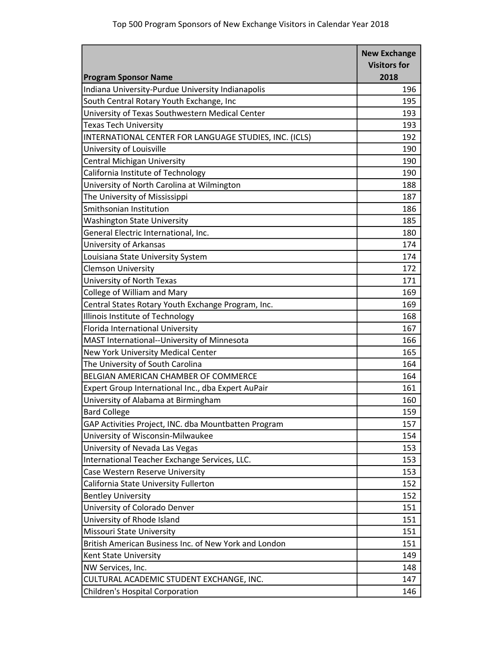|                                                        | <b>New Exchange</b> |
|--------------------------------------------------------|---------------------|
|                                                        | <b>Visitors for</b> |
| <b>Program Sponsor Name</b>                            | 2018                |
| Indiana University-Purdue University Indianapolis      | 196                 |
| South Central Rotary Youth Exchange, Inc               | 195                 |
| University of Texas Southwestern Medical Center        | 193                 |
| <b>Texas Tech University</b>                           | 193                 |
| INTERNATIONAL CENTER FOR LANGUAGE STUDIES, INC. (ICLS) | 192                 |
| University of Louisville                               | 190                 |
| Central Michigan University                            | 190                 |
| California Institute of Technology                     | 190                 |
| University of North Carolina at Wilmington             | 188                 |
| The University of Mississippi                          | 187                 |
| Smithsonian Institution                                | 186                 |
| <b>Washington State University</b>                     | 185                 |
| General Electric International, Inc.                   | 180                 |
| University of Arkansas                                 | 174                 |
| Louisiana State University System                      | 174                 |
| <b>Clemson University</b>                              | 172                 |
| University of North Texas                              | 171                 |
| College of William and Mary                            | 169                 |
| Central States Rotary Youth Exchange Program, Inc.     | 169                 |
| Illinois Institute of Technology                       | 168                 |
| Florida International University                       | 167                 |
| MAST International--University of Minnesota            | 166                 |
| New York University Medical Center                     | 165                 |
| The University of South Carolina                       | 164                 |
| BELGIAN AMERICAN CHAMBER OF COMMERCE                   | 164                 |
| Expert Group International Inc., dba Expert AuPair     | 161                 |
| University of Alabama at Birmingham                    | 160                 |
| <b>Bard College</b>                                    | 159                 |
| GAP Activities Project, INC. dba Mountbatten Program   | 157                 |
| University of Wisconsin-Milwaukee                      | 154                 |
| University of Nevada Las Vegas                         | 153                 |
| International Teacher Exchange Services, LLC.          | 153                 |
| Case Western Reserve University                        | 153                 |
| California State University Fullerton                  | 152                 |
| <b>Bentley University</b>                              | 152                 |
| University of Colorado Denver                          | 151                 |
| University of Rhode Island                             | 151                 |
| Missouri State University                              | 151                 |
| British American Business Inc. of New York and London  | 151                 |
| Kent State University                                  | 149                 |
| NW Services, Inc.                                      | 148                 |
| CULTURAL ACADEMIC STUDENT EXCHANGE, INC.               | 147                 |
| Children's Hospital Corporation                        | 146                 |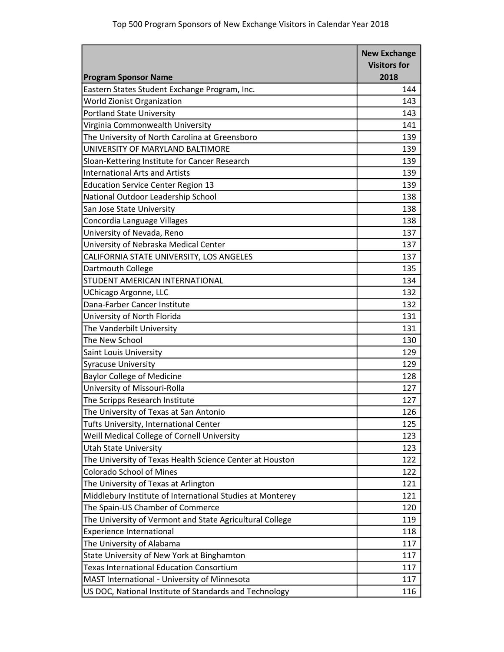|                                                           | <b>New Exchange</b> |
|-----------------------------------------------------------|---------------------|
|                                                           | <b>Visitors for</b> |
| <b>Program Sponsor Name</b>                               | 2018                |
| Eastern States Student Exchange Program, Inc.             | 144                 |
| <b>World Zionist Organization</b>                         | 143                 |
| <b>Portland State University</b>                          | 143                 |
| Virginia Commonwealth University                          | 141                 |
| The University of North Carolina at Greensboro            | 139                 |
| UNIVERSITY OF MARYLAND BALTIMORE                          | 139                 |
| Sloan-Kettering Institute for Cancer Research             | 139                 |
| <b>International Arts and Artists</b>                     | 139                 |
| <b>Education Service Center Region 13</b>                 | 139                 |
| National Outdoor Leadership School                        | 138                 |
| San Jose State University                                 | 138                 |
| Concordia Language Villages                               | 138                 |
| University of Nevada, Reno                                | 137                 |
| University of Nebraska Medical Center                     | 137                 |
| CALIFORNIA STATE UNIVERSITY, LOS ANGELES                  | 137                 |
| Dartmouth College                                         | 135                 |
| STUDENT AMERICAN INTERNATIONAL                            | 134                 |
| UChicago Argonne, LLC                                     | 132                 |
| Dana-Farber Cancer Institute                              | 132                 |
| University of North Florida                               | 131                 |
| The Vanderbilt University                                 | 131                 |
| The New School                                            | 130                 |
| Saint Louis University                                    | 129                 |
| <b>Syracuse University</b>                                | 129                 |
| <b>Baylor College of Medicine</b>                         | 128                 |
| University of Missouri-Rolla                              | 127                 |
| The Scripps Research Institute                            | 127                 |
| The University of Texas at San Antonio                    | 126                 |
| Tufts University, International Center                    | 125                 |
| Weill Medical College of Cornell University               | 123                 |
| <b>Utah State University</b>                              | 123                 |
| The University of Texas Health Science Center at Houston  | 122                 |
| <b>Colorado School of Mines</b>                           | 122                 |
| The University of Texas at Arlington                      | 121                 |
| Middlebury Institute of International Studies at Monterey | 121                 |
| The Spain-US Chamber of Commerce                          | 120                 |
| The University of Vermont and State Agricultural College  | 119                 |
| <b>Experience International</b>                           | 118                 |
| The University of Alabama                                 | 117                 |
| State University of New York at Binghamton                | 117                 |
| <b>Texas International Education Consortium</b>           | 117                 |
| MAST International - University of Minnesota              | 117                 |
| US DOC, National Institute of Standards and Technology    | 116                 |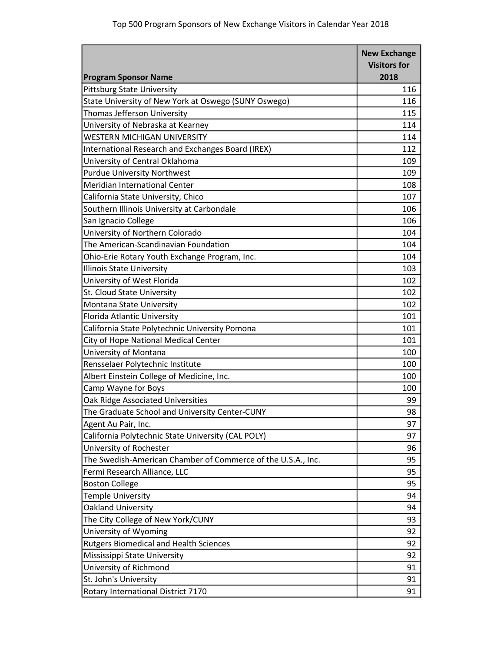|                                                              | <b>New Exchange</b> |
|--------------------------------------------------------------|---------------------|
|                                                              | <b>Visitors for</b> |
| <b>Program Sponsor Name</b>                                  | 2018                |
| <b>Pittsburg State University</b>                            | 116                 |
| State University of New York at Oswego (SUNY Oswego)         | 116                 |
| Thomas Jefferson University                                  | 115                 |
| University of Nebraska at Kearney                            | 114                 |
| WESTERN MICHIGAN UNIVERSITY                                  | 114                 |
| International Research and Exchanges Board (IREX)            | 112                 |
| University of Central Oklahoma                               | 109                 |
| <b>Purdue University Northwest</b>                           | 109                 |
| Meridian International Center                                | 108                 |
| California State University, Chico                           | 107                 |
| Southern Illinois University at Carbondale                   | 106                 |
| San Ignacio College                                          | 106                 |
| University of Northern Colorado                              | 104                 |
| The American-Scandinavian Foundation                         | 104                 |
| Ohio-Erie Rotary Youth Exchange Program, Inc.                | 104                 |
| <b>Illinois State University</b>                             | 103                 |
| University of West Florida                                   | 102                 |
| St. Cloud State University                                   | 102                 |
| Montana State University                                     | 102                 |
| Florida Atlantic University                                  | 101                 |
| California State Polytechnic University Pomona               | 101                 |
| City of Hope National Medical Center                         | 101                 |
| University of Montana                                        | 100                 |
| Rensselaer Polytechnic Institute                             | 100                 |
| Albert Einstein College of Medicine, Inc.                    | 100                 |
| Camp Wayne for Boys                                          | 100                 |
| Oak Ridge Associated Universities                            | 99                  |
| The Graduate School and University Center-CUNY               | 98                  |
| Agent Au Pair, Inc.                                          | 97                  |
| California Polytechnic State University (CAL POLY)           | 97                  |
| University of Rochester                                      | 96                  |
| The Swedish-American Chamber of Commerce of the U.S.A., Inc. | 95                  |
| Fermi Research Alliance, LLC                                 | 95                  |
| <b>Boston College</b>                                        | 95                  |
| <b>Temple University</b>                                     | 94                  |
| Oakland University                                           | 94                  |
| The City College of New York/CUNY                            | 93                  |
| University of Wyoming                                        | 92                  |
| <b>Rutgers Biomedical and Health Sciences</b>                | 92                  |
| Mississippi State University                                 | 92                  |
| University of Richmond                                       | 91                  |
| St. John's University                                        | 91                  |
|                                                              |                     |
| Rotary International District 7170                           | 91                  |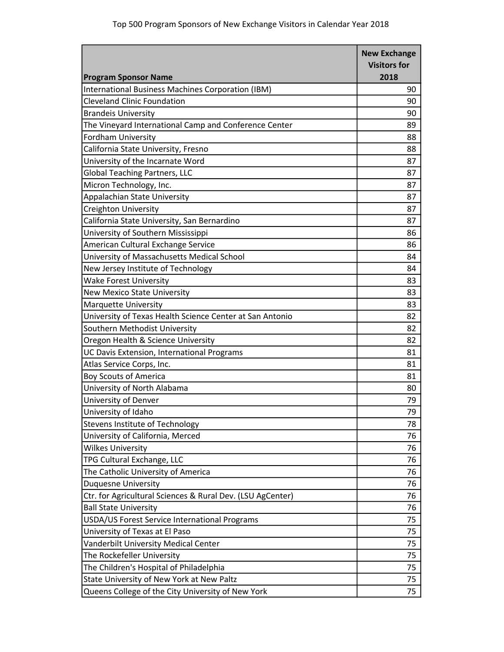| <b>Visitors for</b><br>2018<br><b>Program Sponsor Name</b><br>International Business Machines Corporation (IBM)<br>90<br><b>Cleveland Clinic Foundation</b><br>90<br><b>Brandeis University</b><br>90<br>The Vineyard International Camp and Conference Center<br>89<br><b>Fordham University</b><br>88<br>California State University, Fresno<br>88<br>University of the Incarnate Word<br>87<br><b>Global Teaching Partners, LLC</b><br>87<br>Micron Technology, Inc.<br>87<br>Appalachian State University<br>87<br><b>Creighton University</b><br>87<br>California State University, San Bernardino<br>87<br>University of Southern Mississippi<br>86<br>American Cultural Exchange Service<br>86<br>University of Massachusetts Medical School<br>84<br>New Jersey Institute of Technology<br>84<br><b>Wake Forest University</b><br>83<br><b>New Mexico State University</b><br>83<br>83<br><b>Marquette University</b> |
|-------------------------------------------------------------------------------------------------------------------------------------------------------------------------------------------------------------------------------------------------------------------------------------------------------------------------------------------------------------------------------------------------------------------------------------------------------------------------------------------------------------------------------------------------------------------------------------------------------------------------------------------------------------------------------------------------------------------------------------------------------------------------------------------------------------------------------------------------------------------------------------------------------------------------------|
|                                                                                                                                                                                                                                                                                                                                                                                                                                                                                                                                                                                                                                                                                                                                                                                                                                                                                                                               |
|                                                                                                                                                                                                                                                                                                                                                                                                                                                                                                                                                                                                                                                                                                                                                                                                                                                                                                                               |
|                                                                                                                                                                                                                                                                                                                                                                                                                                                                                                                                                                                                                                                                                                                                                                                                                                                                                                                               |
|                                                                                                                                                                                                                                                                                                                                                                                                                                                                                                                                                                                                                                                                                                                                                                                                                                                                                                                               |
|                                                                                                                                                                                                                                                                                                                                                                                                                                                                                                                                                                                                                                                                                                                                                                                                                                                                                                                               |
|                                                                                                                                                                                                                                                                                                                                                                                                                                                                                                                                                                                                                                                                                                                                                                                                                                                                                                                               |
|                                                                                                                                                                                                                                                                                                                                                                                                                                                                                                                                                                                                                                                                                                                                                                                                                                                                                                                               |
|                                                                                                                                                                                                                                                                                                                                                                                                                                                                                                                                                                                                                                                                                                                                                                                                                                                                                                                               |
|                                                                                                                                                                                                                                                                                                                                                                                                                                                                                                                                                                                                                                                                                                                                                                                                                                                                                                                               |
|                                                                                                                                                                                                                                                                                                                                                                                                                                                                                                                                                                                                                                                                                                                                                                                                                                                                                                                               |
|                                                                                                                                                                                                                                                                                                                                                                                                                                                                                                                                                                                                                                                                                                                                                                                                                                                                                                                               |
|                                                                                                                                                                                                                                                                                                                                                                                                                                                                                                                                                                                                                                                                                                                                                                                                                                                                                                                               |
|                                                                                                                                                                                                                                                                                                                                                                                                                                                                                                                                                                                                                                                                                                                                                                                                                                                                                                                               |
|                                                                                                                                                                                                                                                                                                                                                                                                                                                                                                                                                                                                                                                                                                                                                                                                                                                                                                                               |
|                                                                                                                                                                                                                                                                                                                                                                                                                                                                                                                                                                                                                                                                                                                                                                                                                                                                                                                               |
|                                                                                                                                                                                                                                                                                                                                                                                                                                                                                                                                                                                                                                                                                                                                                                                                                                                                                                                               |
|                                                                                                                                                                                                                                                                                                                                                                                                                                                                                                                                                                                                                                                                                                                                                                                                                                                                                                                               |
|                                                                                                                                                                                                                                                                                                                                                                                                                                                                                                                                                                                                                                                                                                                                                                                                                                                                                                                               |
|                                                                                                                                                                                                                                                                                                                                                                                                                                                                                                                                                                                                                                                                                                                                                                                                                                                                                                                               |
|                                                                                                                                                                                                                                                                                                                                                                                                                                                                                                                                                                                                                                                                                                                                                                                                                                                                                                                               |
|                                                                                                                                                                                                                                                                                                                                                                                                                                                                                                                                                                                                                                                                                                                                                                                                                                                                                                                               |
| University of Texas Health Science Center at San Antonio<br>82                                                                                                                                                                                                                                                                                                                                                                                                                                                                                                                                                                                                                                                                                                                                                                                                                                                                |
| Southern Methodist University<br>82                                                                                                                                                                                                                                                                                                                                                                                                                                                                                                                                                                                                                                                                                                                                                                                                                                                                                           |
| Oregon Health & Science University<br>82                                                                                                                                                                                                                                                                                                                                                                                                                                                                                                                                                                                                                                                                                                                                                                                                                                                                                      |
| UC Davis Extension, International Programs<br>81                                                                                                                                                                                                                                                                                                                                                                                                                                                                                                                                                                                                                                                                                                                                                                                                                                                                              |
| Atlas Service Corps, Inc.<br>81                                                                                                                                                                                                                                                                                                                                                                                                                                                                                                                                                                                                                                                                                                                                                                                                                                                                                               |
| <b>Boy Scouts of America</b><br>81                                                                                                                                                                                                                                                                                                                                                                                                                                                                                                                                                                                                                                                                                                                                                                                                                                                                                            |
| University of North Alabama<br>80                                                                                                                                                                                                                                                                                                                                                                                                                                                                                                                                                                                                                                                                                                                                                                                                                                                                                             |
| University of Denver<br>79                                                                                                                                                                                                                                                                                                                                                                                                                                                                                                                                                                                                                                                                                                                                                                                                                                                                                                    |
| University of Idaho<br>79                                                                                                                                                                                                                                                                                                                                                                                                                                                                                                                                                                                                                                                                                                                                                                                                                                                                                                     |
| Stevens Institute of Technology<br>78                                                                                                                                                                                                                                                                                                                                                                                                                                                                                                                                                                                                                                                                                                                                                                                                                                                                                         |
| University of California, Merced<br>76                                                                                                                                                                                                                                                                                                                                                                                                                                                                                                                                                                                                                                                                                                                                                                                                                                                                                        |
| <b>Wilkes University</b><br>76                                                                                                                                                                                                                                                                                                                                                                                                                                                                                                                                                                                                                                                                                                                                                                                                                                                                                                |
| TPG Cultural Exchange, LLC<br>76                                                                                                                                                                                                                                                                                                                                                                                                                                                                                                                                                                                                                                                                                                                                                                                                                                                                                              |
| The Catholic University of America<br>76                                                                                                                                                                                                                                                                                                                                                                                                                                                                                                                                                                                                                                                                                                                                                                                                                                                                                      |
| <b>Duquesne University</b><br>76                                                                                                                                                                                                                                                                                                                                                                                                                                                                                                                                                                                                                                                                                                                                                                                                                                                                                              |
| Ctr. for Agricultural Sciences & Rural Dev. (LSU AgCenter)<br>76                                                                                                                                                                                                                                                                                                                                                                                                                                                                                                                                                                                                                                                                                                                                                                                                                                                              |
| <b>Ball State University</b><br>76                                                                                                                                                                                                                                                                                                                                                                                                                                                                                                                                                                                                                                                                                                                                                                                                                                                                                            |
| 75<br>USDA/US Forest Service International Programs                                                                                                                                                                                                                                                                                                                                                                                                                                                                                                                                                                                                                                                                                                                                                                                                                                                                           |
| University of Texas at El Paso<br>75                                                                                                                                                                                                                                                                                                                                                                                                                                                                                                                                                                                                                                                                                                                                                                                                                                                                                          |
| Vanderbilt University Medical Center<br>75                                                                                                                                                                                                                                                                                                                                                                                                                                                                                                                                                                                                                                                                                                                                                                                                                                                                                    |
| The Rockefeller University<br>75                                                                                                                                                                                                                                                                                                                                                                                                                                                                                                                                                                                                                                                                                                                                                                                                                                                                                              |
| The Children's Hospital of Philadelphia<br>75                                                                                                                                                                                                                                                                                                                                                                                                                                                                                                                                                                                                                                                                                                                                                                                                                                                                                 |
| State University of New York at New Paltz<br>75                                                                                                                                                                                                                                                                                                                                                                                                                                                                                                                                                                                                                                                                                                                                                                                                                                                                               |
| Queens College of the City University of New York<br>75                                                                                                                                                                                                                                                                                                                                                                                                                                                                                                                                                                                                                                                                                                                                                                                                                                                                       |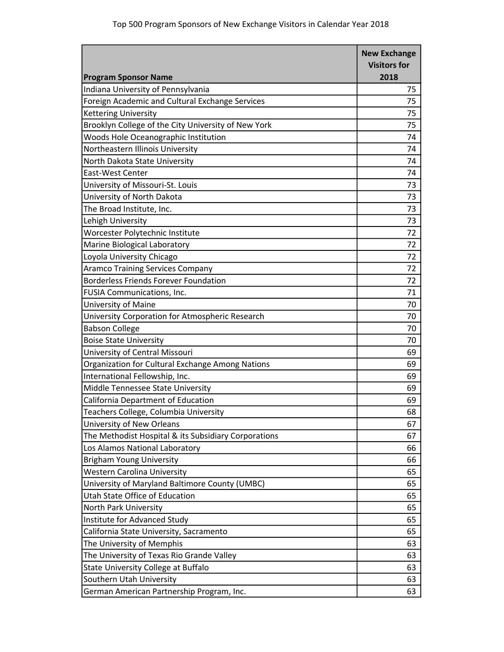|                                                      | <b>New Exchange</b> |
|------------------------------------------------------|---------------------|
|                                                      | <b>Visitors for</b> |
| <b>Program Sponsor Name</b>                          | 2018                |
| Indiana University of Pennsylvania                   | 75                  |
| Foreign Academic and Cultural Exchange Services      | 75                  |
| <b>Kettering University</b>                          | 75                  |
| Brooklyn College of the City University of New York  | 75                  |
| Woods Hole Oceanographic Institution                 | 74                  |
| Northeastern Illinois University                     | 74                  |
| North Dakota State University                        | 74                  |
| East-West Center                                     | 74                  |
| University of Missouri-St. Louis                     | 73                  |
| University of North Dakota                           | 73                  |
| The Broad Institute, Inc.                            | 73                  |
| Lehigh University                                    | 73                  |
| Worcester Polytechnic Institute                      | 72                  |
| Marine Biological Laboratory                         | 72                  |
| Loyola University Chicago                            | 72                  |
| <b>Aramco Training Services Company</b>              | 72                  |
| <b>Borderless Friends Forever Foundation</b>         | 72                  |
| FUSIA Communications, Inc.                           | 71                  |
| University of Maine                                  | 70                  |
| University Corporation for Atmospheric Research      | 70                  |
| <b>Babson College</b>                                | 70                  |
| <b>Boise State University</b>                        | 70                  |
| University of Central Missouri                       | 69                  |
| Organization for Cultural Exchange Among Nations     | 69                  |
| International Fellowship, Inc.                       | 69                  |
| Middle Tennessee State University                    | 69                  |
| California Department of Education                   | 69                  |
| Teachers College, Columbia University                | 68                  |
| University of New Orleans                            | 67                  |
| The Methodist Hospital & its Subsidiary Corporations | 67                  |
| Los Alamos National Laboratory                       | 66                  |
| <b>Brigham Young University</b>                      | 66                  |
| <b>Western Carolina University</b>                   | 65                  |
| University of Maryland Baltimore County (UMBC)       | 65                  |
| <b>Utah State Office of Education</b>                | 65                  |
| North Park University                                | 65                  |
| Institute for Advanced Study                         | 65                  |
| California State University, Sacramento              | 65                  |
| The University of Memphis                            | 63                  |
| The University of Texas Rio Grande Valley            | 63                  |
| State University College at Buffalo                  | 63                  |
| Southern Utah University                             | 63                  |
| German American Partnership Program, Inc.            | 63                  |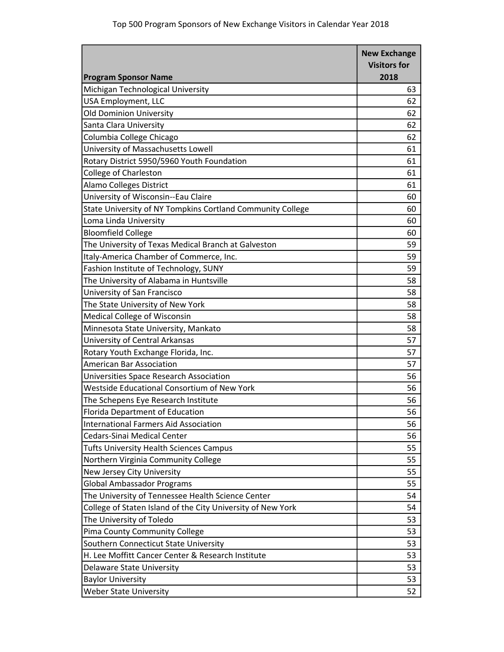| 2018<br><b>Program Sponsor Name</b><br>Michigan Technological University<br>63<br>USA Employment, LLC<br>62<br><b>Old Dominion University</b><br>62<br>Santa Clara University<br>62<br>Columbia College Chicago<br>62<br>University of Massachusetts Lowell<br>61<br>Rotary District 5950/5960 Youth Foundation<br>61<br><b>College of Charleston</b><br>61<br><b>Alamo Colleges District</b><br>61<br>University of Wisconsin--Eau Claire<br>60<br>State University of NY Tompkins Cortland Community College<br>Loma Linda University<br><b>Bloomfield College</b><br>The University of Texas Medical Branch at Galveston | <b>New Exchange</b> |
|-----------------------------------------------------------------------------------------------------------------------------------------------------------------------------------------------------------------------------------------------------------------------------------------------------------------------------------------------------------------------------------------------------------------------------------------------------------------------------------------------------------------------------------------------------------------------------------------------------------------------------|---------------------|
|                                                                                                                                                                                                                                                                                                                                                                                                                                                                                                                                                                                                                             | <b>Visitors for</b> |
|                                                                                                                                                                                                                                                                                                                                                                                                                                                                                                                                                                                                                             |                     |
|                                                                                                                                                                                                                                                                                                                                                                                                                                                                                                                                                                                                                             |                     |
|                                                                                                                                                                                                                                                                                                                                                                                                                                                                                                                                                                                                                             |                     |
|                                                                                                                                                                                                                                                                                                                                                                                                                                                                                                                                                                                                                             |                     |
|                                                                                                                                                                                                                                                                                                                                                                                                                                                                                                                                                                                                                             |                     |
|                                                                                                                                                                                                                                                                                                                                                                                                                                                                                                                                                                                                                             |                     |
|                                                                                                                                                                                                                                                                                                                                                                                                                                                                                                                                                                                                                             |                     |
|                                                                                                                                                                                                                                                                                                                                                                                                                                                                                                                                                                                                                             |                     |
|                                                                                                                                                                                                                                                                                                                                                                                                                                                                                                                                                                                                                             |                     |
|                                                                                                                                                                                                                                                                                                                                                                                                                                                                                                                                                                                                                             |                     |
|                                                                                                                                                                                                                                                                                                                                                                                                                                                                                                                                                                                                                             |                     |
|                                                                                                                                                                                                                                                                                                                                                                                                                                                                                                                                                                                                                             | 60                  |
|                                                                                                                                                                                                                                                                                                                                                                                                                                                                                                                                                                                                                             | 60                  |
|                                                                                                                                                                                                                                                                                                                                                                                                                                                                                                                                                                                                                             | 60                  |
|                                                                                                                                                                                                                                                                                                                                                                                                                                                                                                                                                                                                                             | 59                  |
| Italy-America Chamber of Commerce, Inc.                                                                                                                                                                                                                                                                                                                                                                                                                                                                                                                                                                                     | 59                  |
| Fashion Institute of Technology, SUNY                                                                                                                                                                                                                                                                                                                                                                                                                                                                                                                                                                                       | 59                  |
| The University of Alabama in Huntsville                                                                                                                                                                                                                                                                                                                                                                                                                                                                                                                                                                                     | 58                  |
| University of San Francisco                                                                                                                                                                                                                                                                                                                                                                                                                                                                                                                                                                                                 | 58                  |
| The State University of New York                                                                                                                                                                                                                                                                                                                                                                                                                                                                                                                                                                                            | 58                  |
| Medical College of Wisconsin                                                                                                                                                                                                                                                                                                                                                                                                                                                                                                                                                                                                | 58                  |
| Minnesota State University, Mankato                                                                                                                                                                                                                                                                                                                                                                                                                                                                                                                                                                                         | 58                  |
| University of Central Arkansas                                                                                                                                                                                                                                                                                                                                                                                                                                                                                                                                                                                              | 57                  |
| Rotary Youth Exchange Florida, Inc.                                                                                                                                                                                                                                                                                                                                                                                                                                                                                                                                                                                         | 57                  |
| <b>American Bar Association</b>                                                                                                                                                                                                                                                                                                                                                                                                                                                                                                                                                                                             | 57                  |
| Universities Space Research Association                                                                                                                                                                                                                                                                                                                                                                                                                                                                                                                                                                                     | 56                  |
| Westside Educational Consortium of New York                                                                                                                                                                                                                                                                                                                                                                                                                                                                                                                                                                                 | 56                  |
| The Schepens Eye Research Institute                                                                                                                                                                                                                                                                                                                                                                                                                                                                                                                                                                                         | 56                  |
| <b>Florida Department of Education</b>                                                                                                                                                                                                                                                                                                                                                                                                                                                                                                                                                                                      | 56                  |
| <b>International Farmers Aid Association</b>                                                                                                                                                                                                                                                                                                                                                                                                                                                                                                                                                                                | 56                  |
| <b>Cedars-Sinai Medical Center</b>                                                                                                                                                                                                                                                                                                                                                                                                                                                                                                                                                                                          | 56                  |
| <b>Tufts University Health Sciences Campus</b>                                                                                                                                                                                                                                                                                                                                                                                                                                                                                                                                                                              | 55                  |
| Northern Virginia Community College                                                                                                                                                                                                                                                                                                                                                                                                                                                                                                                                                                                         | 55                  |
| New Jersey City University                                                                                                                                                                                                                                                                                                                                                                                                                                                                                                                                                                                                  | 55                  |
| <b>Global Ambassador Programs</b>                                                                                                                                                                                                                                                                                                                                                                                                                                                                                                                                                                                           | 55                  |
| The University of Tennessee Health Science Center                                                                                                                                                                                                                                                                                                                                                                                                                                                                                                                                                                           | 54                  |
| College of Staten Island of the City University of New York                                                                                                                                                                                                                                                                                                                                                                                                                                                                                                                                                                 | 54                  |
| The University of Toledo                                                                                                                                                                                                                                                                                                                                                                                                                                                                                                                                                                                                    | 53                  |
| Pima County Community College                                                                                                                                                                                                                                                                                                                                                                                                                                                                                                                                                                                               | 53                  |
| Southern Connecticut State University                                                                                                                                                                                                                                                                                                                                                                                                                                                                                                                                                                                       | 53                  |
| H. Lee Moffitt Cancer Center & Research Institute                                                                                                                                                                                                                                                                                                                                                                                                                                                                                                                                                                           | 53                  |
| Delaware State University                                                                                                                                                                                                                                                                                                                                                                                                                                                                                                                                                                                                   | 53                  |
| <b>Baylor University</b>                                                                                                                                                                                                                                                                                                                                                                                                                                                                                                                                                                                                    | 53                  |
| <b>Weber State University</b>                                                                                                                                                                                                                                                                                                                                                                                                                                                                                                                                                                                               | 52                  |